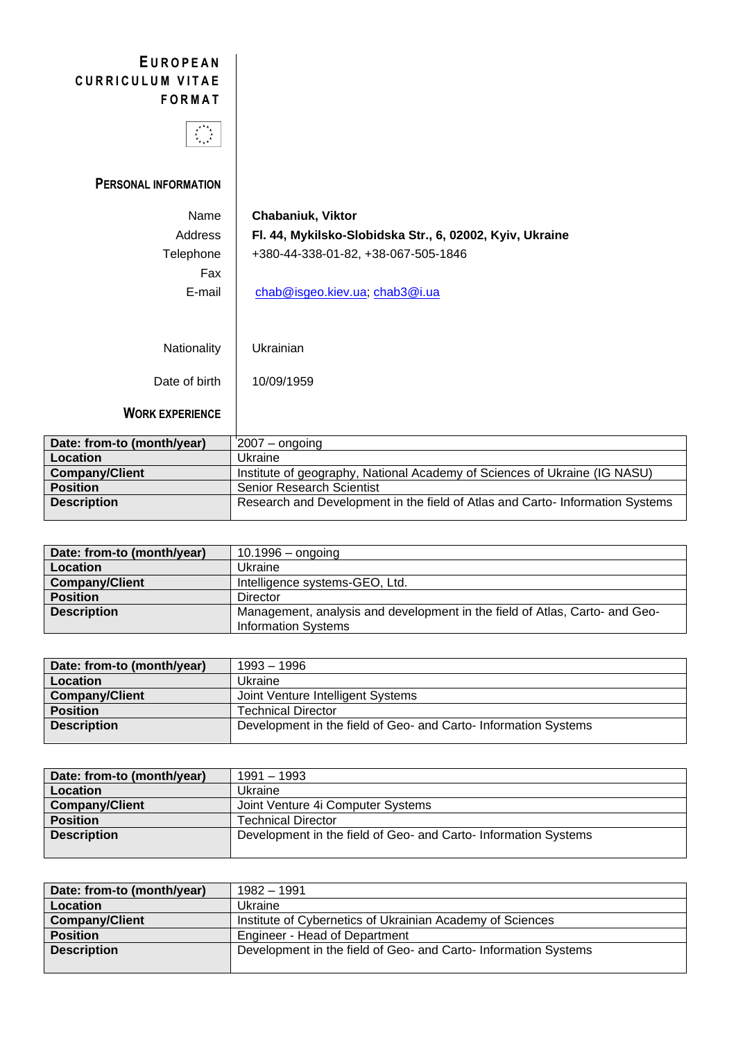## **E U R O P E A N** CURRICULUM VITAE **F O R M A T**



**PERSONAL INFORMATION**

| Name          | <b>Chabaniuk, Viktor</b>                                 |
|---------------|----------------------------------------------------------|
| Address       | Fl. 44, Mykilsko-Slobidska Str., 6, 02002, Kyiv, Ukraine |
| Telephone     | +380-44-338-01-82, +38-067-505-1846                      |
| Fax           |                                                          |
| E-mail        | <u>chab@isgeo.kiev.ua, chab3@i.ua</u>                    |
|               |                                                          |
|               |                                                          |
| Nationality   | Ukrainian                                                |
| Date of birth | 10/09/1959                                               |

**WORK EXPERIENCE**

| Date: from-to (month/year) | $2007 -$ ongoing                                                             |
|----------------------------|------------------------------------------------------------------------------|
| Location                   | Ukraine                                                                      |
| <b>Company/Client</b>      | Institute of geography, National Academy of Sciences of Ukraine (IG NASU)    |
| <b>Position</b>            | Senior Research Scientist                                                    |
| <b>Description</b>         | Research and Development in the field of Atlas and Carto-Information Systems |

| Date: from-to (month/year) | $10.1996 -$ ongoing                                                         |
|----------------------------|-----------------------------------------------------------------------------|
| Location                   | Ukraine                                                                     |
| <b>Company/Client</b>      | Intelligence systems-GEO, Ltd.                                              |
| <b>Position</b>            | Director                                                                    |
| <b>Description</b>         | Management, analysis and development in the field of Atlas, Carto- and Geo- |
|                            | <b>Information Systems</b>                                                  |

| Date: from-to (month/year) | 1993 – 1996                                                    |
|----------------------------|----------------------------------------------------------------|
| Location                   | Ukraine                                                        |
| <b>Company/Client</b>      | Joint Venture Intelligent Systems                              |
| <b>Position</b>            | <b>Technical Director</b>                                      |
| <b>Description</b>         | Development in the field of Geo- and Carto-Information Systems |
|                            |                                                                |

| Date: from-to (month/year) | 1991 – 1993                                                     |
|----------------------------|-----------------------------------------------------------------|
| <b>Location</b>            | Ukraine                                                         |
| <b>Company/Client</b>      | Joint Venture 4i Computer Systems                               |
| <b>Position</b>            | <b>Technical Director</b>                                       |
| <b>Description</b>         | Development in the field of Geo- and Carto- Information Systems |
|                            |                                                                 |

| Date: from-to (month/year) | 1982 – 1991                                                     |
|----------------------------|-----------------------------------------------------------------|
| <b>Location</b>            | Ukraine                                                         |
| <b>Company/Client</b>      | Institute of Cybernetics of Ukrainian Academy of Sciences       |
| <b>Position</b>            | Engineer - Head of Department                                   |
| <b>Description</b>         | Development in the field of Geo- and Carto- Information Systems |
|                            |                                                                 |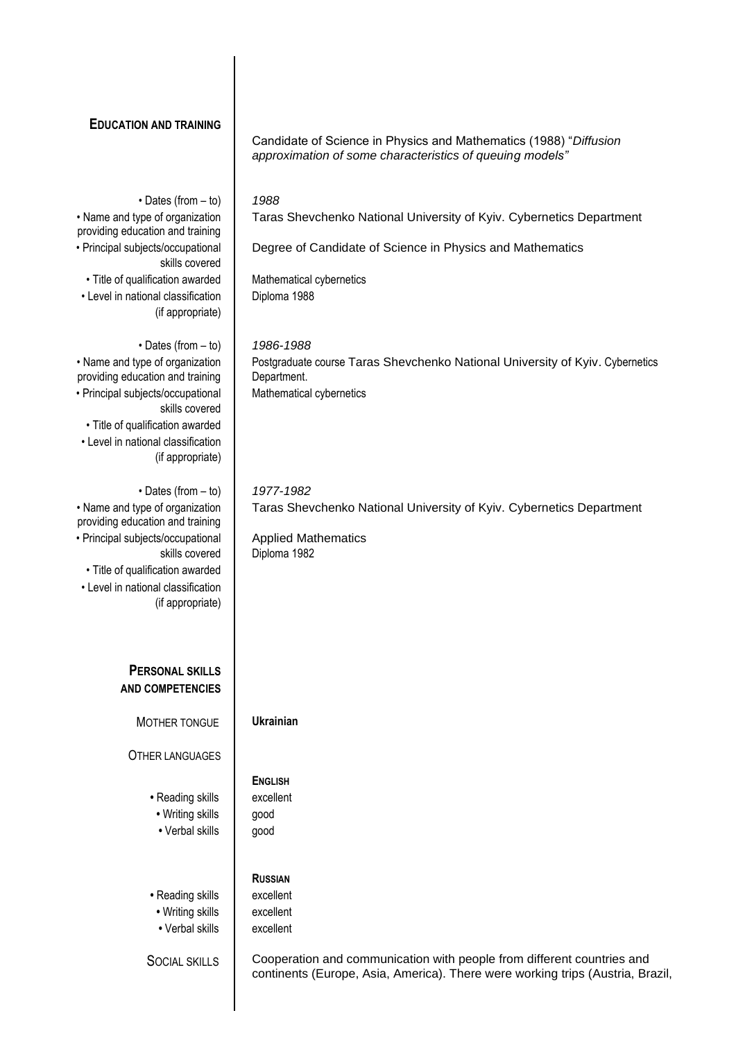| <b>EDUCATION AND TRAINING</b>                                                                                                                                  | Candidate of Science in Physics and Mathematics (1988) "Diffusion<br>approximation of some characteristics of queuing models"                            |
|----------------------------------------------------------------------------------------------------------------------------------------------------------------|----------------------------------------------------------------------------------------------------------------------------------------------------------|
|                                                                                                                                                                |                                                                                                                                                          |
| $\cdot$ Dates (from $-$ to)<br>• Name and type of organization                                                                                                 | 1988<br>Taras Shevchenko National University of Kyiv. Cybernetics Department                                                                             |
| providing education and training<br>• Principal subjects/occupational                                                                                          | Degree of Candidate of Science in Physics and Mathematics                                                                                                |
| skills covered                                                                                                                                                 |                                                                                                                                                          |
| · Title of qualification awarded<br>• Level in national classification<br>(if appropriate)                                                                     | Mathematical cybernetics<br>Diploma 1988                                                                                                                 |
| $\cdot$ Dates (from $-$ to)                                                                                                                                    | 1986-1988                                                                                                                                                |
| • Name and type of organization<br>providing education and training<br>• Principal subjects/occupational<br>skills covered<br>• Title of qualification awarded | Postgraduate course Taras Shevchenko National University of Kyiv. Cybernetics<br>Department.<br>Mathematical cybernetics                                 |
| • Level in national classification<br>(if appropriate)                                                                                                         |                                                                                                                                                          |
| $\cdot$ Dates (from $-$ to)<br>• Name and type of organization<br>providing education and training                                                             | 1977-1982<br>Taras Shevchenko National University of Kyiv. Cybernetics Department                                                                        |
| • Principal subjects/occupational<br>skills covered                                                                                                            | <b>Applied Mathematics</b><br>Diploma 1982                                                                                                               |
| • Title of qualification awarded<br>• Level in national classification<br>(if appropriate)                                                                     |                                                                                                                                                          |
| <b>PERSONAL SKILLS</b><br><b>AND COMPETENCIES</b>                                                                                                              |                                                                                                                                                          |
|                                                                                                                                                                |                                                                                                                                                          |
| MOTHER TONGUE                                                                                                                                                  | <b>Ukrainian</b>                                                                                                                                         |
| <b>OTHER LANGUAGES</b>                                                                                                                                         |                                                                                                                                                          |
| • Reading skills                                                                                                                                               | <b>ENGLISH</b><br>excellent                                                                                                                              |
| • Writing skills                                                                                                                                               | good                                                                                                                                                     |
| • Verbal skills                                                                                                                                                | good                                                                                                                                                     |
|                                                                                                                                                                | <b>RUSSIAN</b>                                                                                                                                           |
| • Reading skills<br>• Writing skills                                                                                                                           | excellent<br>excellent                                                                                                                                   |
| • Verbal skills                                                                                                                                                | excellent                                                                                                                                                |
| <b>SOCIAL SKILLS</b>                                                                                                                                           | Cooperation and communication with people from different countries and<br>continents (Europe, Asia, America). There were working trips (Austria, Brazil, |

 $\overline{1}$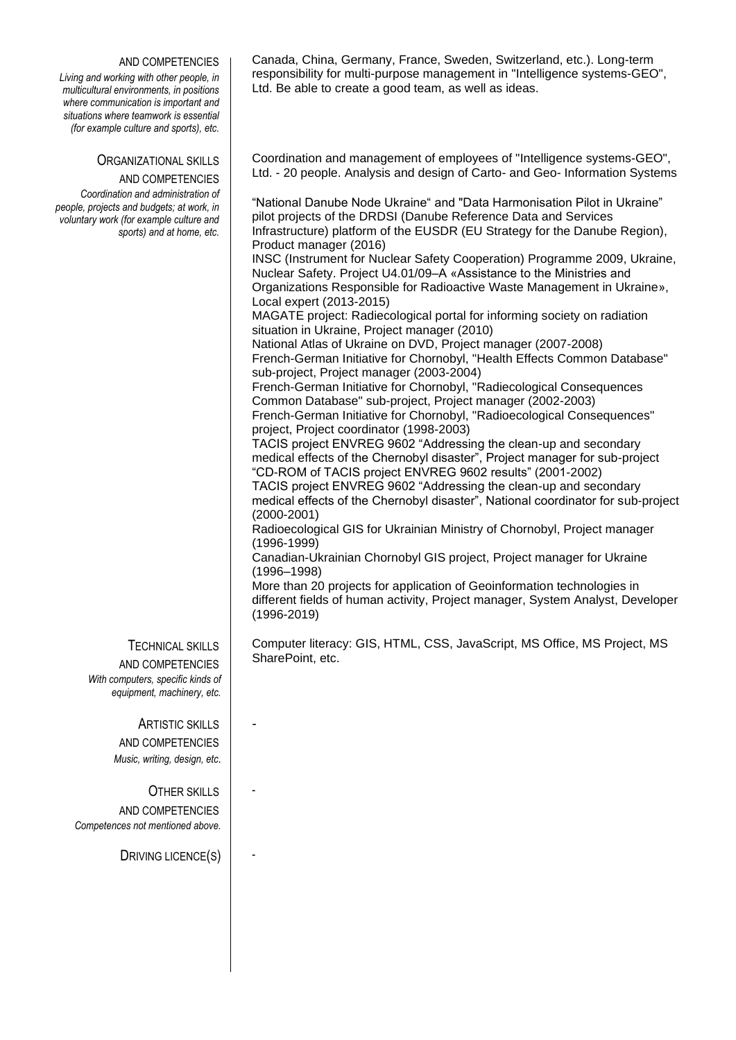## AND COMPETENCIES

*Living and working with other people, in multicultural environments, in positions where communication is important and situations where teamwork is essential (for example culture and sports), etc.*

## ORGANIZATIONAL SKILLS

AND COMPETENCIES *Coordination and administration of people, projects and budgets; at work, in voluntary work (for example culture and sports) and at home, etc.*

> TECHNICAL SKILLS AND COMPETENCIES *With computers, specific kinds of equipment, machinery, etc.*

> > ARTISTIC SKILLS AND COMPETENCIES *Music, writing, design, etc*.

-

-

-

OTHER SKILLS AND COMPETENCIES *Competences not mentioned above.*

DRIVING LICENCE(S)

Canada, China, Germany, France, Sweden, Switzerland, etc.). Long-term responsibility for multi-purpose management in "Intelligence systems-GEO", Ltd. Be able to create a good team, as well as ideas.

Coordination and management of employees of "Intelligence systems-GEO", Ltd. - 20 people. Analysis and design of Carto- and Geo- Information Systems

"National Danube Node Ukraine" and "Data Harmonisation Pilot in Ukraine" pilot projects of the DRDSI (Danube Reference Data and Services Infrastructure) platform of the EUSDR (EU Strategy for the Danube Region), Product manager (2016)

INSC (Instrument for Nuclear Safety Cooperation) Programme 2009, Ukraine, Nuclear Safety. Project U4.01/09–А «Assistance to the Ministries and Organizations Responsible for Radioactive Waste Management in Ukraine», Local expert (2013-2015)

MAGATE project: Radiecological portal for informing society on radiation situation in Ukraine, Project manager (2010)

National Atlas of Ukraine on DVD, Project manager (2007-2008) French-German Initiative for Chornobyl, "Health Effects Common Database" sub-project, Project manager (2003-2004)

French-German Initiative for Chornobyl, "Radiecological Consequences Common Database" sub-project, Project manager (2002-2003) French-German Initiative for Chornobyl, "Radioecological Consequences" project, Project coordinator (1998-2003)

TACIS project ENVREG 9602 "Addressing the clean-up and secondary medical effects of the Chernobyl disaster", Project manager for sub-project "CD-ROM of TACIS project ENVREG 9602 results" (2001-2002)

TACIS project ENVREG 9602 "Addressing the clean-up and secondary medical effects of the Chernobyl disaster", National coordinator for sub-project (2000-2001)

Radioecological GIS for Ukrainian Ministry of Chornobyl, Project manager (1996-1999)

Canadian-Ukrainian Chornobyl GIS project, Project manager for Ukraine (1996–1998)

More than 20 projects for application of Geoinformation technologies in different fields of human activity, Project manager, System Analyst, Developer (1996-2019)

Computer literacy: GIS, HTML, CSS, JavaScript, MS Office, MS Project, MS SharePoint, etc.